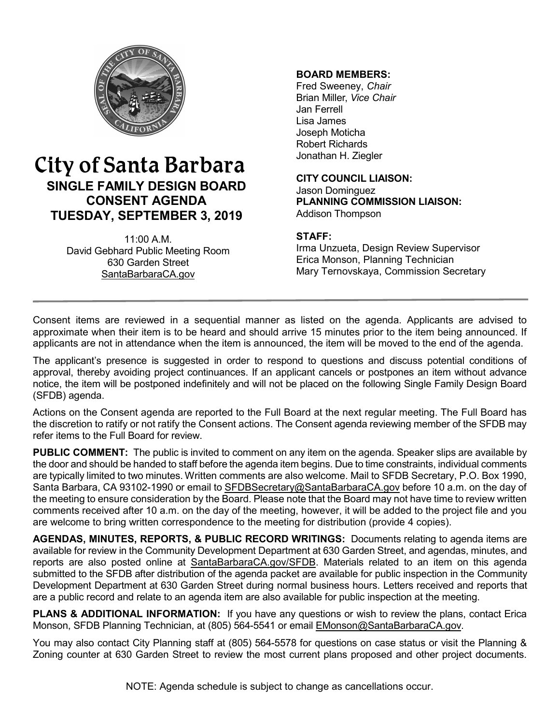

# City of Santa Barbara **SINGLE FAMILY DESIGN BOARD CONSENT AGENDA TUESDAY, SEPTEMBER 3, 2019**

11:00 A.M. David Gebhard Public Meeting Room 630 Garden Street [SantaBarbaraCA.gov](http://www.santabarbaraca.gov/)

### **BOARD MEMBERS:**

Fred Sweeney, *Chair* Brian Miller, *Vice Chair* Jan Ferrell Lisa James Joseph Moticha Robert Richards Jonathan H. Ziegler

**CITY COUNCIL LIAISON:** Jason Dominguez **PLANNING COMMISSION LIAISON:** Addison Thompson

#### **STAFF:**

Irma Unzueta, Design Review Supervisor Erica Monson, Planning Technician Mary Ternovskaya, Commission Secretary

Consent items are reviewed in a sequential manner as listed on the agenda. Applicants are advised to approximate when their item is to be heard and should arrive 15 minutes prior to the item being announced. If applicants are not in attendance when the item is announced, the item will be moved to the end of the agenda.

The applicant's presence is suggested in order to respond to questions and discuss potential conditions of approval, thereby avoiding project continuances. If an applicant cancels or postpones an item without advance notice, the item will be postponed indefinitely and will not be placed on the following Single Family Design Board (SFDB) agenda.

Actions on the Consent agenda are reported to the Full Board at the next regular meeting. The Full Board has the discretion to ratify or not ratify the Consent actions. The Consent agenda reviewing member of the SFDB may refer items to the Full Board for review.

**PUBLIC COMMENT:** The public is invited to comment on any item on the agenda. Speaker slips are available by the door and should be handed to staff before the agenda item begins. Due to time constraints, individual comments are typically limited to two minutes. Written comments are also welcome. Mail to SFDB Secretary, P.O. Box 1990, Santa Barbara, CA 93102-1990 or email to [SFDBSecretary@SantaBarbaraCA.gov](mailto:SFDBSecretary@SantaBarbaraCA.gov) before 10 a.m. on the day of the meeting to ensure consideration by the Board. Please note that the Board may not have time to review written comments received after 10 a.m. on the day of the meeting, however, it will be added to the project file and you are welcome to bring written correspondence to the meeting for distribution (provide 4 copies).

AGENDAS, MINUTES, REPORTS, & PUBLIC RECORD WRITINGS: Documents relating to agenda items are available for review in the Community Development Department at 630 Garden Street, and agendas, minutes, and reports are also posted online at [SantaBarbaraCA.gov/SFDB](http://www.santabarbaraca.gov/gov/brdcomm/nz/sfdb/agendas.asp). Materials related to an item on this agenda submitted to the SFDB after distribution of the agenda packet are available for public inspection in the Community Development Department at 630 Garden Street during normal business hours. Letters received and reports that are a public record and relate to an agenda item are also available for public inspection at the meeting.

**PLANS & ADDITIONAL INFORMATION:** If you have any questions or wish to review the plans, contact Erica Monson, SFDB Planning Technician, at (805) 564-5541 or email [EMonson@SantaBarbaraCA.gov](mailto:EMonson@SantaBarbaraCA.gov).

You may also contact City Planning staff at (805) 564-5578 for questions on case status or visit the Planning & Zoning counter at 630 Garden Street to review the most current plans proposed and other project documents.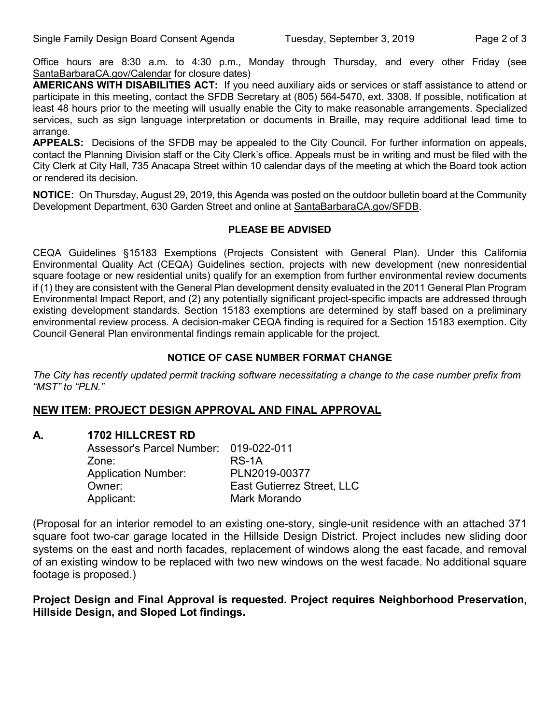Office hours are 8:30 a.m. to 4:30 p.m., Monday through Thursday, and every other Friday (see SantaBarbaraCA.gov/Calendar for closure dates)

**AMERICANS WITH DISABILITIES ACT:** If you need auxiliary aids or services or staff assistance to attend or participate in this meeting, contact the SFDB Secretary at (805) 564-5470, ext. 3308. If possible, notification at least 48 hours prior to the meeting will usually enable the City to make reasonable arrangements. Specialized services, such as sign language interpretation or documents in Braille, may require additional lead time to arrange.

**APPEALS:** Decisions of the SFDB may be appealed to the City Council. For further information on appeals, contact the Planning Division staff or the City Clerk's office. Appeals must be in writing and must be filed with the City Clerk at City Hall, 735 Anacapa Street within 10 calendar days of the meeting at which the Board took action or rendered its decision.

**NOTICE:** On Thursday, August 29, 2019, this Agenda was posted on the outdoor bulletin board at the Community Development Department, 630 Garden Street and online at [SantaBarbaraCA.gov/SFDB](http://www.santabarbaraca.gov/gov/brdcomm/nz/sfdb/agendas.asp).

#### **PLEASE BE ADVISED**

CEQA Guidelines §15183 Exemptions (Projects Consistent with General Plan). Under this California Environmental Quality Act (CEQA) Guidelines section, projects with new development (new nonresidential square footage or new residential units) qualify for an exemption from further environmental review documents if (1) they are consistent with the General Plan development density evaluated in the 2011 General Plan Program Environmental Impact Report, and (2) any potentially significant project-specific impacts are addressed through existing development standards. Section 15183 exemptions are determined by staff based on a preliminary environmental review process. A decision-maker CEQA finding is required for a Section 15183 exemption. City Council General Plan environmental findings remain applicable for the project.

#### **NOTICE OF CASE NUMBER FORMAT CHANGE**

*The City has recently updated permit tracking software necessitating a change to the case number prefix from "MST" to "PLN."*

### **NEW ITEM: PROJECT DESIGN APPROVAL AND FINAL APPROVAL**

### **A. 1702 HILLCREST RD**

| Assessor's Parcel Number: 019-022-011 |                                   |
|---------------------------------------|-----------------------------------|
| Zone:                                 | RS-1A                             |
| <b>Application Number:</b>            | PLN2019-00377                     |
| Owner:                                | <b>East Gutierrez Street, LLC</b> |
| Applicant:                            | Mark Morando                      |

(Proposal for an interior remodel to an existing one-story, single-unit residence with an attached 371 square foot two-car garage located in the Hillside Design District. Project includes new sliding door systems on the east and north facades, replacement of windows along the east facade, and removal of an existing window to be replaced with two new windows on the west facade. No additional square footage is proposed.)

#### **Project Design and Final Approval is requested. Project requires Neighborhood Preservation, Hillside Design, and Sloped Lot findings.**